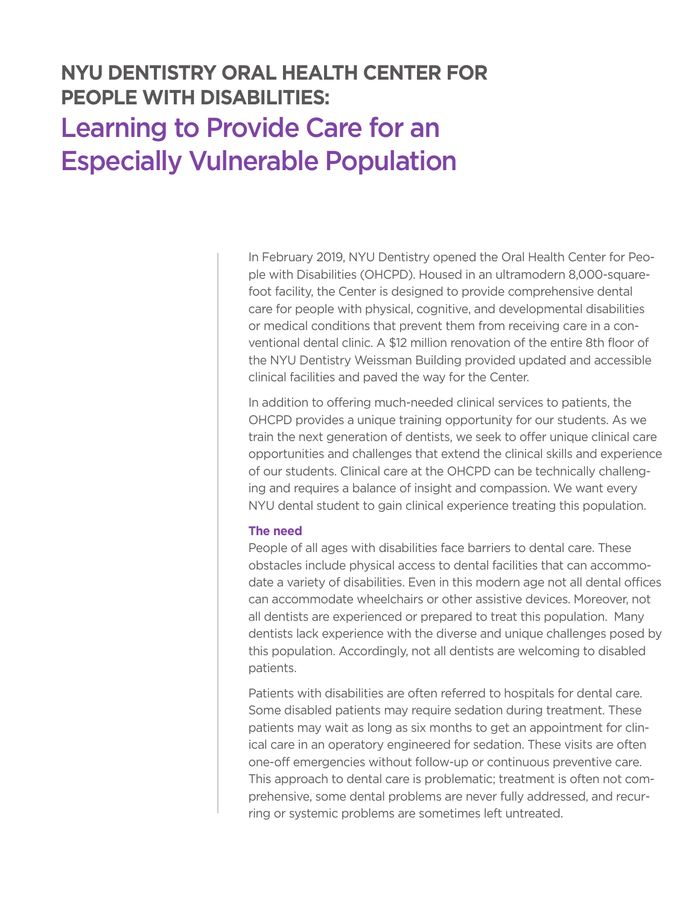## **NYU DENTISTRY ORAL HEALTH CENTER FOR PEOPLE WITH DISABILITIES:**  Learning to Provide Care for an Especially Vulnerable Population

In February 2019, NYU Dentistry opened the Oral Health Center for People with Disabilities (OHCPD). Housed in an ultramodern 8,000-squarefoot facility, the Center is designed to provide comprehensive dental care for people with physical, cognitive, and developmental disabilities or medical conditions that prevent them from receiving care in a conventional dental clinic. A \$12 million renovation of the entire 8th floor of the NYU Dentistry Weissman Building provided updated and accessible clinical facilities and paved the way for the Center.

In addition to offering much-needed clinical services to patients, the OHCPD provides a unique training opportunity for our students. As we train the next generation of dentists, we seek to offer unique clinical care opportunities and challenges that extend the clinical skills and experience of our students. Clinical care at the OHCPD can be technically challenging and requires a balance of insight and compassion. We want every NYU dental student to gain clinical experience treating this population.

## **The need**

People of all ages with disabilities face barriers to dental care. These obstacles include physical access to dental facilities that can accommodate a variety of disabilities. Even in this modern age not all dental offices can accommodate wheelchairs or other assistive devices. Moreover, not all dentists are experienced or prepared to treat this population. Many dentists lack experience with the diverse and unique challenges posed by this population. Accordingly, not all dentists are welcoming to disabled patients.

Patients with disabilities are often referred to hospitals for dental care. Some disabled patients may require sedation during treatment. These patients may wait as long as six months to get an appointment for clinical care in an operatory engineered for sedation. These visits are often one-off emergencies without follow-up or continuous preventive care. This approach to dental care is problematic; treatment is often not comprehensive, some dental problems are never fully addressed, and recurring or systemic problems are sometimes left untreated.